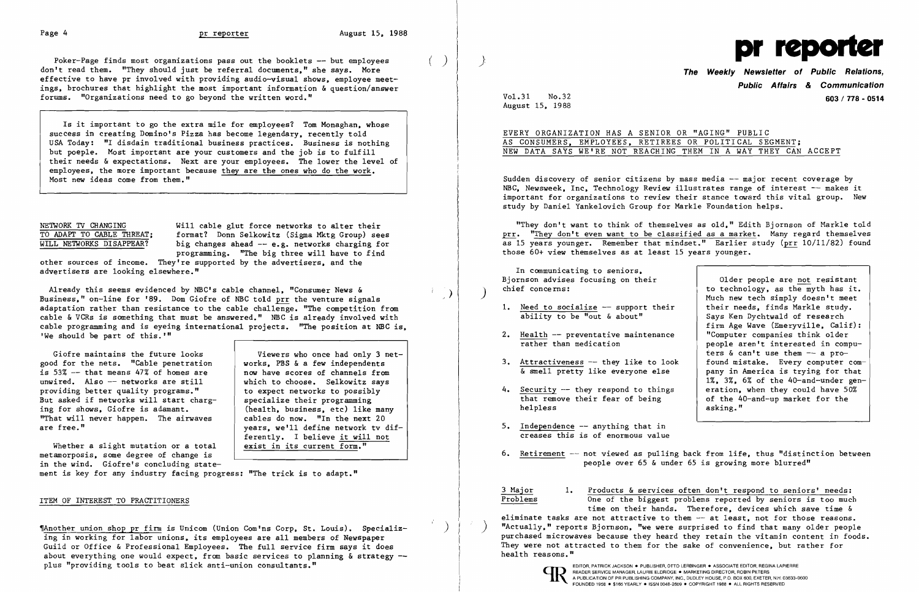$( \ )$ 

Poker-Page finds most organizations pass out the booklets -- but employees don't read them. "They should just be referral documents." she says. More effective to have pr involved with providing audio-visual shows. employee meetings. brochures that highlight the most important information & question/answer forums. "Organizations need to go beyond the written word."

Is it important to go the extra mile for employees? Tom Monaghan. whose success in creating Domino's Pizza has become legendary. recently told USA Today: "I disdain traditional business practices. Business is nothing but poep1e. Most important are your customers and the job is to fulfill their needs & expectations. Next are your employees. The lower the level of employees. the more important because they are the ones who do the work. Most new ideas come from them."

NETWORK TV CHANGING<br>TO ADAPT TO CABLE THREAT: format? Donn Selkowitz (Sigma Mktg Group) see TO ADAPT TO CABLE THREAT; format? Donn Selkowitz (Sigma Mktg Group) sees<br>WILL NETWORKS DISAPPEAR? big changes ahead -- e.g. networks charging for big changes ahead  $-$  e.g. networks charging for programming. "The big three will have to find

Already this seems evidenced by NBC's cable channel. "Consumer News & Business." on-line for '89. Dom Giofre of NBC told prr the venture signals adaptation rather than resistance to the cable challenge. "The competition from cable & VCRs is something that must be answered." NBC is already involved with cable programming and is eyeing international projects. "The position at NBC is. 'We should be part of this.'"

Giofre maintains the future looks<br>od for the nets. "Cable penetration works. PBS & a few independents good for the nets. "Cable penetration is 53%  $-$  that means 47% of homes are  $\vert$  now have scores of channels from unwired. Also  $-$  networks are still  $\vert$  which to choose. Selkowitz savs unwired. Also -- networks are still  $\begin{array}{|l|l|}\n \hline\n \text{which to choose.} \quad \text{Selkowitz say} \\
 \hline\n \text{provided,} \quad \text{be there} \quad \text{quality programs.}\n \end{array}$ providing better quality programs."  $\vert$  to expect networks to possibl<br>But asked if networks will start charg- specialize their programming But asked if networks will start charg-<br>ing for shows, Giofre is adamant. "That will never happen. The airwaves are free."

other sources of income. They're supported by the advertisers. and the advertisers are looking elsewhere."

Whether a slight mutation or a total metamorposis. some degree of change is in the wind. Giofre's concluding state)  $\overline{\phantom{a}}$ 

 $\left( \right)$ 

Sudden discovery of senior citizens by mass media -- major recent coverage by NBC. Newsweek. Inc. Technology Review illustrates range of interest -- makes it important for organizations to review their stance toward this vital group. New study by Daniel Yanke10vich Group for Markle Foundation helps.

"They don't want to think of themselves as old." Edith Bjornson of Markle told prr. "They don't even want to be classified as a market. Many regard themselves as 15 years younger. Remember that mindset." Earlier study (prr 10/11/82) found those 60+ view themselves as at least 15 years younger.

- 1. Need to socialize -- support their<br>ability to be "out & about"
- 2. Health -- preventative maintenance  $\frac{1}{\text{rather}}$  than medication
- 3. Attractiveness -- they like to look<br> $\frac{1}{\alpha}$  smell pretty like every one else
- 4. Security  $-$  they respond to things<br>that remove their fear of being that remove their fear of being  $\left\{\n\begin{array}{c}\n\text{of the }40\text{-} \text{and--up market for the} \\
\text{aking.}\n\end{array}\n\right\}$
- 5. Independence -- anything that in creases this is of enormous value
- 

6. Retirement  $-$  not viewed as pulling back from life, thus "distinction between people over 65 & under 65 is growing more blurred"

ment is key for any industry facing progress: "The trick is to adapt."

## ITEM OF INTEREST TO PRACTITIONERS

 $\frac{3 \text{ Major}}{1.}$   $\frac{1.}{2}$  Products & services often don't respond to seniors' needs:<br>Problems One of the biggest problems reported by seniors is too much time on their hands. Therefore. devices which save time & eliminate tasks are not attractive to them -- at least, not for those reasons. "Actually," reports Bjornson, "we were surprised to find that many older people purchased microwaves because they heard they retain the vitamin content in foods. They were not attracted to them for the sake of convenience, but rather for health reasons."



FOUNDED 1958 · \$165 YEARLY · ISSN 0048-2609 · COPYRIGHT 1988 · ALL RIGHTS RESERVED

(health, business, etc) like many<br>cables do now. "In the next 20 vears. we'll define network tv differently. I believe it will not<br>exist in its current form."

,Another union shop pr firm is Unicom (Union ComIns Corp. St. Louis). Specializing in working for labor unions. its employees are all members of Newspaper Guild or Office & Professional Employees. The full service firm says it does about everything one would expect, from basic services to planning  $\&$  strategy  $$ plus "providing tools to beat slick anti-union consultants."



**The Weekly Newsletter of Public Relations, Public Affairs** *&* **Communication**  Vo1.31 No.32 **603/778 - 0514** 

Older people are <u>not</u> resistant<br>to technology, as the myth has it. Much new tech simply doesn't meet<br>their needs. finds Markle study. Says Ken Dychtwa1d of research firm Age Wave (Emeryville, Calif):<br>"Computer companies think older people aren't interested in computers & can't use them -- a pro-<br>found mistake. Every computer company in America is trying for that 1%, 3%, 6% of the 40-and-under gen-<br>eration, when they could have 50% asking."

August 15. 1988

## EVERY ORGANIZATION HAS A SENIOR OR "AGING" PUBLIC AS CONSUMERS. EMPLOYEES. RETIREES OR POLITICAL SEGMENT; NEW DATA SAYS WE'RE NOT REACHING THEM IN A WAY THEY CAN ACCEPT

In communicating to seniors. Bjornson advises focusing on their